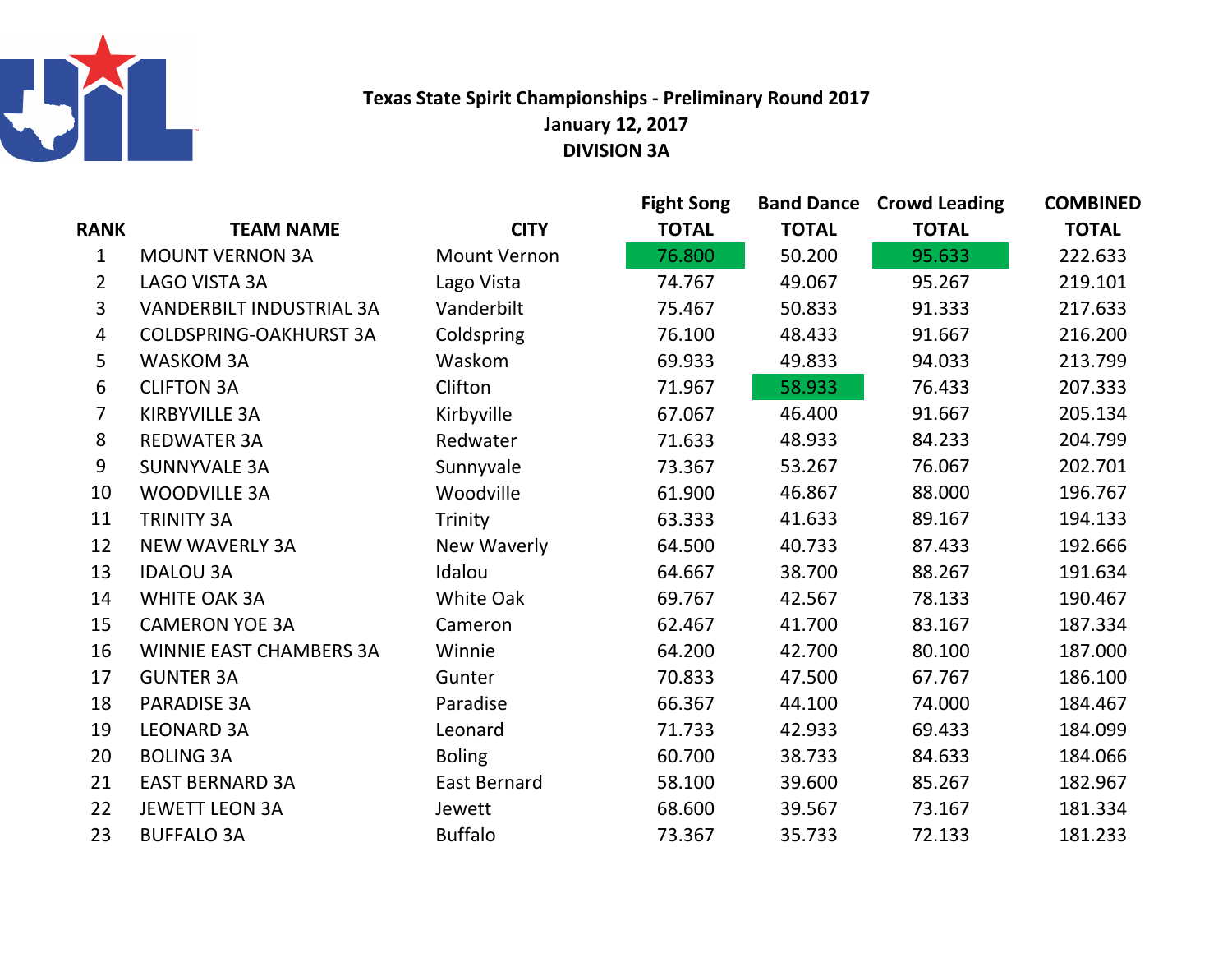

## Texas State Spirit Championships - Preliminary Round 2017January 12, 2017DIVISION 3A

|                |                                 |                     | <b>Fight Song</b> |              | <b>Band Dance Crowd Leading</b> | <b>COMBINED</b> |
|----------------|---------------------------------|---------------------|-------------------|--------------|---------------------------------|-----------------|
| <b>RANK</b>    | <b>TEAM NAME</b>                | <b>CITY</b>         | <b>TOTAL</b>      | <b>TOTAL</b> | <b>TOTAL</b>                    | <b>TOTAL</b>    |
| $\mathbf{1}$   | <b>MOUNT VERNON 3A</b>          | <b>Mount Vernon</b> | 76.800            | 50.200       | 95.633                          | 222.633         |
| $\overline{2}$ | LAGO VISTA 3A                   | Lago Vista          | 74.767            | 49.067       | 95.267                          | 219.101         |
| 3              | <b>VANDERBILT INDUSTRIAL 3A</b> | Vanderbilt          | 75.467            | 50.833       | 91.333                          | 217.633         |
| 4              | <b>COLDSPRING-OAKHURST 3A</b>   | Coldspring          | 76.100            | 48.433       | 91.667                          | 216.200         |
| 5              | <b>WASKOM 3A</b>                | Waskom              | 69.933            | 49.833       | 94.033                          | 213.799         |
| 6              | <b>CLIFTON 3A</b>               | Clifton             | 71.967            | 58.933       | 76.433                          | 207.333         |
| $\overline{7}$ | <b>KIRBYVILLE 3A</b>            | Kirbyville          | 67.067            | 46.400       | 91.667                          | 205.134         |
| 8              | <b>REDWATER 3A</b>              | Redwater            | 71.633            | 48.933       | 84.233                          | 204.799         |
| 9              | <b>SUNNYVALE 3A</b>             | Sunnyvale           | 73.367            | 53.267       | 76.067                          | 202.701         |
| 10             | <b>WOODVILLE 3A</b>             | Woodville           | 61.900            | 46.867       | 88.000                          | 196.767         |
| 11             | <b>TRINITY 3A</b>               | Trinity             | 63.333            | 41.633       | 89.167                          | 194.133         |
| 12             | <b>NEW WAVERLY 3A</b>           | New Waverly         | 64.500            | 40.733       | 87.433                          | 192.666         |
| 13             | <b>IDALOU 3A</b>                | Idalou              | 64.667            | 38.700       | 88.267                          | 191.634         |
| 14             | <b>WHITE OAK 3A</b>             | White Oak           | 69.767            | 42.567       | 78.133                          | 190.467         |
| 15             | <b>CAMERON YOE 3A</b>           | Cameron             | 62.467            | 41.700       | 83.167                          | 187.334         |
| 16             | <b>WINNIE EAST CHAMBERS 3A</b>  | Winnie              | 64.200            | 42.700       | 80.100                          | 187.000         |
| 17             | <b>GUNTER 3A</b>                | Gunter              | 70.833            | 47.500       | 67.767                          | 186.100         |
| 18             | <b>PARADISE 3A</b>              | Paradise            | 66.367            | 44.100       | 74.000                          | 184.467         |
| 19             | <b>LEONARD 3A</b>               | Leonard             | 71.733            | 42.933       | 69.433                          | 184.099         |
| 20             | <b>BOLING 3A</b>                | <b>Boling</b>       | 60.700            | 38.733       | 84.633                          | 184.066         |
| 21             | <b>EAST BERNARD 3A</b>          | <b>East Bernard</b> | 58.100            | 39.600       | 85.267                          | 182.967         |
| 22             | <b>JEWETT LEON 3A</b>           | Jewett              | 68.600            | 39.567       | 73.167                          | 181.334         |
| 23             | <b>BUFFALO 3A</b>               | <b>Buffalo</b>      | 73.367            | 35.733       | 72.133                          | 181.233         |
|                |                                 |                     |                   |              |                                 |                 |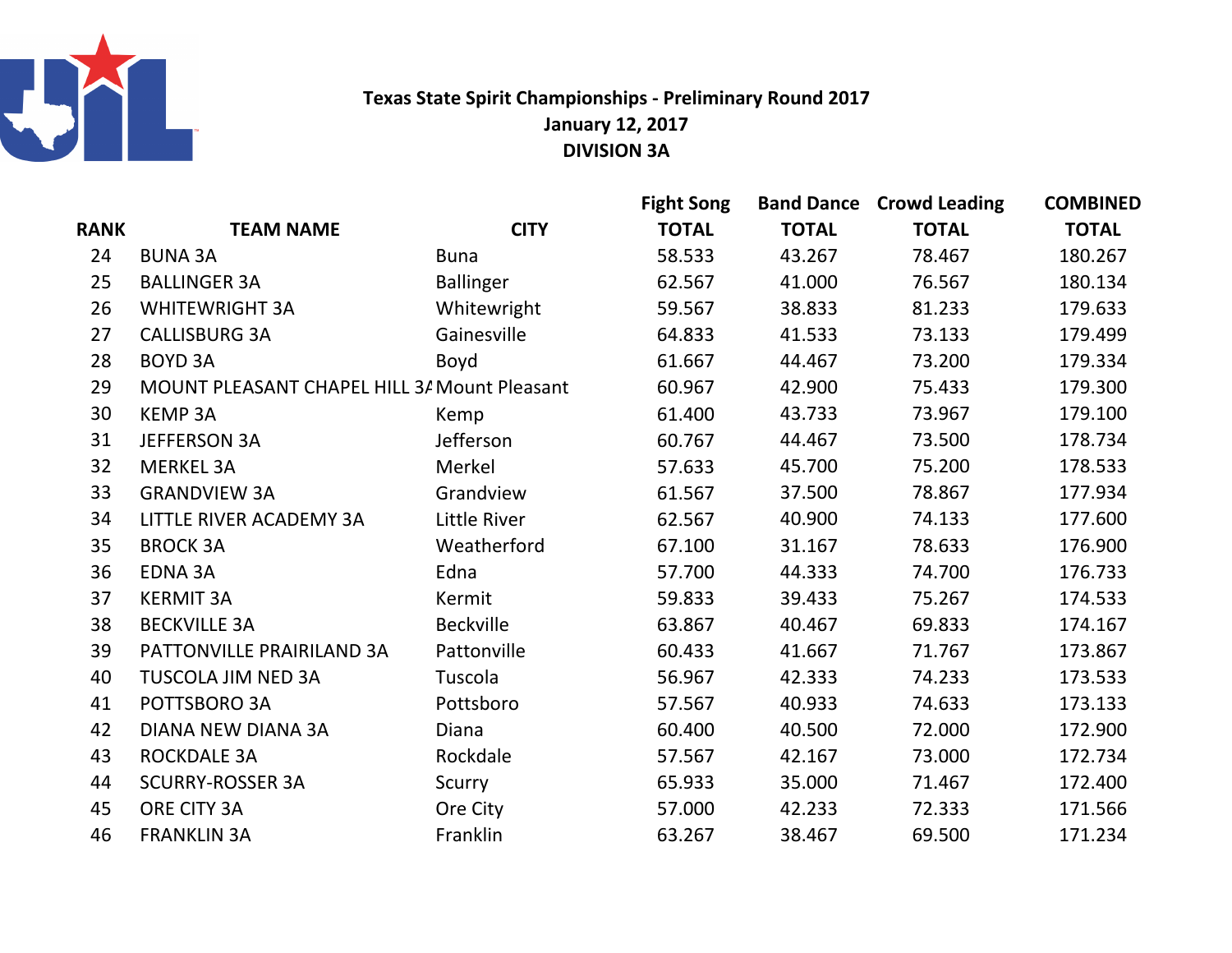

## Texas State Spirit Championships - Preliminary Round 2017January 12, 2017DIVISION 3A

|      |                                              |                  | <b>Fight Song</b> |              | <b>Band Dance Crowd Leading</b> | <b>COMBINED</b> |
|------|----------------------------------------------|------------------|-------------------|--------------|---------------------------------|-----------------|
| RANK | <b>TEAM NAME</b>                             | <b>CITY</b>      | <b>TOTAL</b>      | <b>TOTAL</b> | <b>TOTAL</b>                    | <b>TOTAL</b>    |
| 24   | <b>BUNA 3A</b>                               | <b>Buna</b>      | 58.533            | 43.267       | 78.467                          | 180.267         |
| 25   | <b>BALLINGER 3A</b>                          | <b>Ballinger</b> | 62.567            | 41.000       | 76.567                          | 180.134         |
| 26   | <b>WHITEWRIGHT 3A</b>                        | Whitewright      | 59.567            | 38.833       | 81.233                          | 179.633         |
| 27   | <b>CALLISBURG 3A</b>                         | Gainesville      | 64.833            | 41.533       | 73.133                          | 179.499         |
| 28   | <b>BOYD 3A</b>                               | Boyd             | 61.667            | 44.467       | 73.200                          | 179.334         |
| 29   | MOUNT PLEASANT CHAPEL HILL 3/ Mount Pleasant |                  | 60.967            | 42.900       | 75.433                          | 179.300         |
| 30   | <b>KEMP 3A</b>                               | Kemp             | 61.400            | 43.733       | 73.967                          | 179.100         |
| 31   | <b>JEFFERSON 3A</b>                          | Jefferson        | 60.767            | 44.467       | 73.500                          | 178.734         |
| 32   | <b>MERKEL 3A</b>                             | Merkel           | 57.633            | 45.700       | 75.200                          | 178.533         |
| 33   | <b>GRANDVIEW 3A</b>                          | Grandview        | 61.567            | 37.500       | 78.867                          | 177.934         |
| 34   | LITTLE RIVER ACADEMY 3A                      | Little River     | 62.567            | 40.900       | 74.133                          | 177.600         |
| 35   | <b>BROCK 3A</b>                              | Weatherford      | 67.100            | 31.167       | 78.633                          | 176.900         |
| 36   | <b>EDNA 3A</b>                               | Edna             | 57.700            | 44.333       | 74.700                          | 176.733         |
| 37   | <b>KERMIT 3A</b>                             | Kermit           | 59.833            | 39.433       | 75.267                          | 174.533         |
| 38   | <b>BECKVILLE 3A</b>                          | Beckville        | 63.867            | 40.467       | 69.833                          | 174.167         |
| 39   | PATTONVILLE PRAIRILAND 3A                    | Pattonville      | 60.433            | 41.667       | 71.767                          | 173.867         |
| 40   | <b>TUSCOLA JIM NED 3A</b>                    | Tuscola          | 56.967            | 42.333       | 74.233                          | 173.533         |
| 41   | POTTSBORO 3A                                 | Pottsboro        | 57.567            | 40.933       | 74.633                          | 173.133         |
| 42   | <b>DIANA NEW DIANA 3A</b>                    | Diana            | 60.400            | 40.500       | 72.000                          | 172.900         |
| 43   | <b>ROCKDALE 3A</b>                           | Rockdale         | 57.567            | 42.167       | 73.000                          | 172.734         |
| 44   | <b>SCURRY-ROSSER 3A</b>                      | Scurry           | 65.933            | 35.000       | 71.467                          | 172.400         |
| 45   | ORE CITY 3A                                  | Ore City         | 57.000            | 42.233       | 72.333                          | 171.566         |
| 46   | <b>FRANKLIN 3A</b>                           | Franklin         | 63.267            | 38.467       | 69.500                          | 171.234         |
|      |                                              |                  |                   |              |                                 |                 |